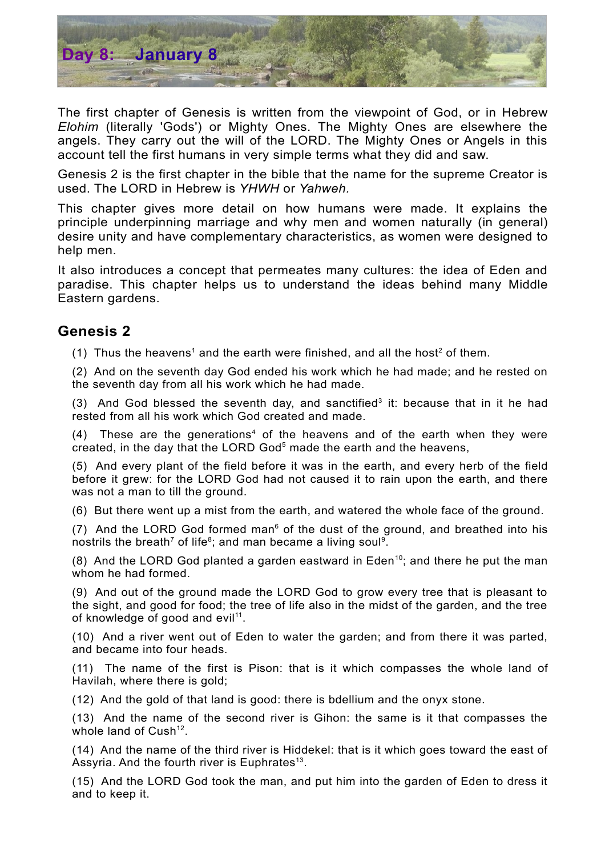

The first chapter of Genesis is written from the viewpoint of God, or in Hebrew *Elohim* (literally 'Gods') or Mighty Ones. The Mighty Ones are elsewhere the angels. They carry out the will of the LORD. The Mighty Ones or Angels in this account tell the first humans in very simple terms what they did and saw.

Genesis 2 is the first chapter in the bible that the name for the supreme Creator is used. The LORD in Hebrew is *YHWH* or *Yahweh.*

This chapter gives more detail on how humans were made. It explains the principle underpinning marriage and why men and women naturally (in general) desire unity and have complementary characteristics, as women were designed to help men.

It also introduces a concept that permeates many cultures: the idea of Eden and paradise. This chapter helps us to understand the ideas behind many Middle Eastern gardens.

## **Genesis 2**

([1](#page-1-0)) Thus the heavens<sup>1</sup> and the earth were finished, and all the host<sup>[2](#page-1-1)</sup> of them.

(2) And on the seventh day God ended his work which he had made; and he rested on the seventh day from all his work which he had made.

([3](#page-1-2)) And God blessed the seventh day, and sanctified<sup>3</sup> it: because that in it he had rested from all his work which God created and made.

 $(4)$  $(4)$  $(4)$  These are the generations<sup>4</sup> of the heavens and of the earth when they were created, in the day that the LORD God<sup>[5](#page-1-4)</sup> made the earth and the heavens,

(5) And every plant of the field before it was in the earth, and every herb of the field before it grew: for the LORD God had not caused it to rain upon the earth, and there was not a man to till the ground.

(6) But there went up a mist from the earth, and watered the whole face of the ground.

(7) And the LORD God formed man $<sup>6</sup>$  $<sup>6</sup>$  $<sup>6</sup>$  of the dust of the ground, and breathed into his</sup> nostrils the breath<sup>[7](#page-1-6)</sup> of life<sup>[8](#page-1-7)</sup>; and man became a living soul<sup>[9](#page-1-8)</sup>.

(8) And the LORD God planted a garden eastward in Eden<sup>[10](#page-1-9)</sup>; and there he put the man whom he had formed.

(9) And out of the ground made the LORD God to grow every tree that is pleasant to the sight, and good for food; the tree of life also in the midst of the garden, and the tree of knowledge of good and evil<sup>[11](#page-1-10)</sup>.

(10) And a river went out of Eden to water the garden; and from there it was parted, and became into four heads.

(11) The name of the first is Pison: that is it which compasses the whole land of Havilah, where there is gold;

(12) And the gold of that land is good: there is bdellium and the onyx stone.

(13) And the name of the second river is Gihon: the same is it that compasses the whole land of Cush<sup>[12](#page-1-11)</sup>.

(14) And the name of the third river is Hiddekel: that is it which goes toward the east of Assyria. And the fourth river is Euphrates<sup>[13](#page-1-12)</sup>.

(15) And the LORD God took the man, and put him into the garden of Eden to dress it and to keep it.